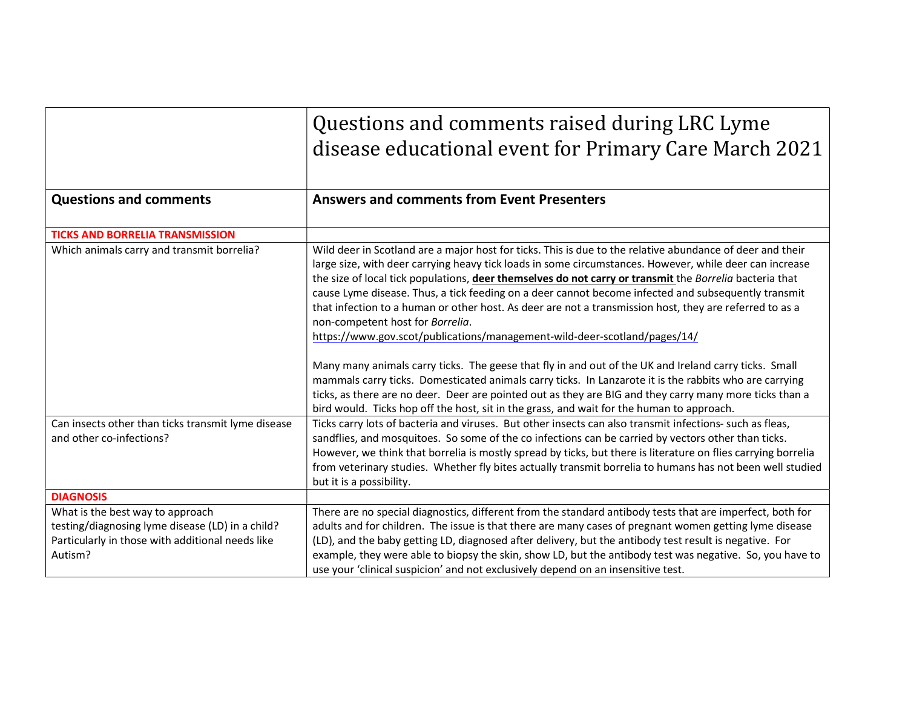|                                                                                                                                                     | Questions and comments raised during LRC Lyme<br>disease educational event for Primary Care March 2021                                                                                                                                                                                                                                                                                                                                                                                                                                                                                                                                                                                                                                                                                                                                                                                                                                                                                           |
|-----------------------------------------------------------------------------------------------------------------------------------------------------|--------------------------------------------------------------------------------------------------------------------------------------------------------------------------------------------------------------------------------------------------------------------------------------------------------------------------------------------------------------------------------------------------------------------------------------------------------------------------------------------------------------------------------------------------------------------------------------------------------------------------------------------------------------------------------------------------------------------------------------------------------------------------------------------------------------------------------------------------------------------------------------------------------------------------------------------------------------------------------------------------|
| <b>Questions and comments</b>                                                                                                                       | <b>Answers and comments from Event Presenters</b>                                                                                                                                                                                                                                                                                                                                                                                                                                                                                                                                                                                                                                                                                                                                                                                                                                                                                                                                                |
| <b>TICKS AND BORRELIA TRANSMISSION</b>                                                                                                              |                                                                                                                                                                                                                                                                                                                                                                                                                                                                                                                                                                                                                                                                                                                                                                                                                                                                                                                                                                                                  |
| Which animals carry and transmit borrelia?                                                                                                          | Wild deer in Scotland are a major host for ticks. This is due to the relative abundance of deer and their<br>large size, with deer carrying heavy tick loads in some circumstances. However, while deer can increase<br>the size of local tick populations, deer themselves do not carry or transmit the Borrelia bacteria that<br>cause Lyme disease. Thus, a tick feeding on a deer cannot become infected and subsequently transmit<br>that infection to a human or other host. As deer are not a transmission host, they are referred to as a<br>non-competent host for Borrelia.<br>https://www.gov.scot/publications/management-wild-deer-scotland/pages/14/<br>Many many animals carry ticks. The geese that fly in and out of the UK and Ireland carry ticks. Small<br>mammals carry ticks. Domesticated animals carry ticks. In Lanzarote it is the rabbits who are carrying<br>ticks, as there are no deer. Deer are pointed out as they are BIG and they carry many more ticks than a |
| Can insects other than ticks transmit lyme disease<br>and other co-infections?                                                                      | bird would. Ticks hop off the host, sit in the grass, and wait for the human to approach.<br>Ticks carry lots of bacteria and viruses. But other insects can also transmit infections- such as fleas,<br>sandflies, and mosquitoes. So some of the co infections can be carried by vectors other than ticks.<br>However, we think that borrelia is mostly spread by ticks, but there is literature on flies carrying borrelia<br>from veterinary studies. Whether fly bites actually transmit borrelia to humans has not been well studied<br>but it is a possibility.                                                                                                                                                                                                                                                                                                                                                                                                                           |
| <b>DIAGNOSIS</b>                                                                                                                                    |                                                                                                                                                                                                                                                                                                                                                                                                                                                                                                                                                                                                                                                                                                                                                                                                                                                                                                                                                                                                  |
| What is the best way to approach<br>testing/diagnosing lyme disease (LD) in a child?<br>Particularly in those with additional needs like<br>Autism? | There are no special diagnostics, different from the standard antibody tests that are imperfect, both for<br>adults and for children. The issue is that there are many cases of pregnant women getting lyme disease<br>(LD), and the baby getting LD, diagnosed after delivery, but the antibody test result is negative. For<br>example, they were able to biopsy the skin, show LD, but the antibody test was negative. So, you have to<br>use your 'clinical suspicion' and not exclusively depend on an insensitive test.                                                                                                                                                                                                                                                                                                                                                                                                                                                                    |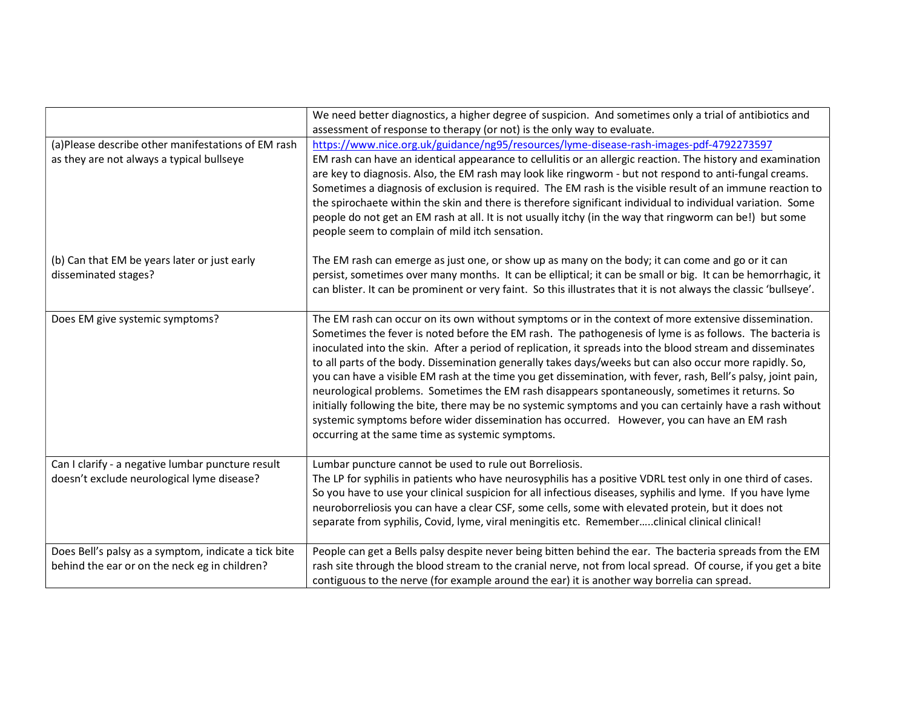|                                                                                                       | We need better diagnostics, a higher degree of suspicion. And sometimes only a trial of antibiotics and                                                                                                                                                                                                                                                                                                                                                                                                                                                                                                                                                                                                                                                                                                                                                                                                                       |
|-------------------------------------------------------------------------------------------------------|-------------------------------------------------------------------------------------------------------------------------------------------------------------------------------------------------------------------------------------------------------------------------------------------------------------------------------------------------------------------------------------------------------------------------------------------------------------------------------------------------------------------------------------------------------------------------------------------------------------------------------------------------------------------------------------------------------------------------------------------------------------------------------------------------------------------------------------------------------------------------------------------------------------------------------|
|                                                                                                       | assessment of response to therapy (or not) is the only way to evaluate.                                                                                                                                                                                                                                                                                                                                                                                                                                                                                                                                                                                                                                                                                                                                                                                                                                                       |
| (a)Please describe other manifestations of EM rash<br>as they are not always a typical bullseye       | https://www.nice.org.uk/guidance/ng95/resources/lyme-disease-rash-images-pdf-4792273597<br>EM rash can have an identical appearance to cellulitis or an allergic reaction. The history and examination<br>are key to diagnosis. Also, the EM rash may look like ringworm - but not respond to anti-fungal creams.<br>Sometimes a diagnosis of exclusion is required. The EM rash is the visible result of an immune reaction to<br>the spirochaete within the skin and there is therefore significant individual to individual variation. Some<br>people do not get an EM rash at all. It is not usually itchy (in the way that ringworm can be!) but some<br>people seem to complain of mild itch sensation.                                                                                                                                                                                                                 |
| (b) Can that EM be years later or just early<br>disseminated stages?                                  | The EM rash can emerge as just one, or show up as many on the body; it can come and go or it can<br>persist, sometimes over many months. It can be elliptical; it can be small or big. It can be hemorrhagic, it<br>can blister. It can be prominent or very faint. So this illustrates that it is not always the classic 'bullseye'.                                                                                                                                                                                                                                                                                                                                                                                                                                                                                                                                                                                         |
| Does EM give systemic symptoms?                                                                       | The EM rash can occur on its own without symptoms or in the context of more extensive dissemination.<br>Sometimes the fever is noted before the EM rash. The pathogenesis of lyme is as follows. The bacteria is<br>inoculated into the skin. After a period of replication, it spreads into the blood stream and disseminates<br>to all parts of the body. Dissemination generally takes days/weeks but can also occur more rapidly. So,<br>you can have a visible EM rash at the time you get dissemination, with fever, rash, Bell's palsy, joint pain,<br>neurological problems. Sometimes the EM rash disappears spontaneously, sometimes it returns. So<br>initially following the bite, there may be no systemic symptoms and you can certainly have a rash without<br>systemic symptoms before wider dissemination has occurred. However, you can have an EM rash<br>occurring at the same time as systemic symptoms. |
| Can I clarify - a negative lumbar puncture result<br>doesn't exclude neurological lyme disease?       | Lumbar puncture cannot be used to rule out Borreliosis.<br>The LP for syphilis in patients who have neurosyphilis has a positive VDRL test only in one third of cases.<br>So you have to use your clinical suspicion for all infectious diseases, syphilis and lyme. If you have lyme<br>neuroborreliosis you can have a clear CSF, some cells, some with elevated protein, but it does not<br>separate from syphilis, Covid, lyme, viral meningitis etc. Rememberclinical clinical clinical!                                                                                                                                                                                                                                                                                                                                                                                                                                 |
| Does Bell's palsy as a symptom, indicate a tick bite<br>behind the ear or on the neck eg in children? | People can get a Bells palsy despite never being bitten behind the ear. The bacteria spreads from the EM<br>rash site through the blood stream to the cranial nerve, not from local spread. Of course, if you get a bite<br>contiguous to the nerve (for example around the ear) it is another way borrelia can spread.                                                                                                                                                                                                                                                                                                                                                                                                                                                                                                                                                                                                       |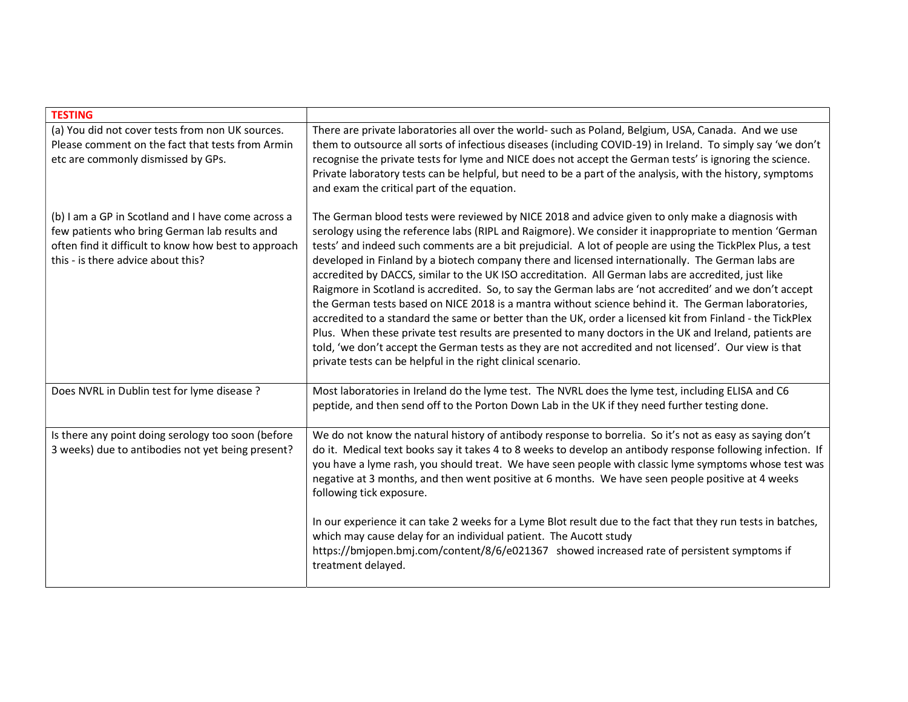| <b>TESTING</b>                                                                                                                                                                                    |                                                                                                                                                                                                                                                                                                                                                                                                                                                                                                                                                                                                                                                                                                                                                                                                                                                                                                                                                                                                                                                                                                                                                          |
|---------------------------------------------------------------------------------------------------------------------------------------------------------------------------------------------------|----------------------------------------------------------------------------------------------------------------------------------------------------------------------------------------------------------------------------------------------------------------------------------------------------------------------------------------------------------------------------------------------------------------------------------------------------------------------------------------------------------------------------------------------------------------------------------------------------------------------------------------------------------------------------------------------------------------------------------------------------------------------------------------------------------------------------------------------------------------------------------------------------------------------------------------------------------------------------------------------------------------------------------------------------------------------------------------------------------------------------------------------------------|
| (a) You did not cover tests from non UK sources.<br>Please comment on the fact that tests from Armin<br>etc are commonly dismissed by GPs.                                                        | There are private laboratories all over the world- such as Poland, Belgium, USA, Canada. And we use<br>them to outsource all sorts of infectious diseases (including COVID-19) in Ireland. To simply say 'we don't<br>recognise the private tests for lyme and NICE does not accept the German tests' is ignoring the science.<br>Private laboratory tests can be helpful, but need to be a part of the analysis, with the history, symptoms<br>and exam the critical part of the equation.                                                                                                                                                                                                                                                                                                                                                                                                                                                                                                                                                                                                                                                              |
| (b) I am a GP in Scotland and I have come across a<br>few patients who bring German lab results and<br>often find it difficult to know how best to approach<br>this - is there advice about this? | The German blood tests were reviewed by NICE 2018 and advice given to only make a diagnosis with<br>serology using the reference labs (RIPL and Raigmore). We consider it inappropriate to mention 'German<br>tests' and indeed such comments are a bit prejudicial. A lot of people are using the TickPlex Plus, a test<br>developed in Finland by a biotech company there and licensed internationally. The German labs are<br>accredited by DACCS, similar to the UK ISO accreditation. All German labs are accredited, just like<br>Raigmore in Scotland is accredited. So, to say the German labs are 'not accredited' and we don't accept<br>the German tests based on NICE 2018 is a mantra without science behind it. The German laboratories,<br>accredited to a standard the same or better than the UK, order a licensed kit from Finland - the TickPlex<br>Plus. When these private test results are presented to many doctors in the UK and Ireland, patients are<br>told, 'we don't accept the German tests as they are not accredited and not licensed'. Our view is that<br>private tests can be helpful in the right clinical scenario. |
| Does NVRL in Dublin test for lyme disease ?                                                                                                                                                       | Most laboratories in Ireland do the lyme test. The NVRL does the lyme test, including ELISA and C6<br>peptide, and then send off to the Porton Down Lab in the UK if they need further testing done.                                                                                                                                                                                                                                                                                                                                                                                                                                                                                                                                                                                                                                                                                                                                                                                                                                                                                                                                                     |
| Is there any point doing serology too soon (before<br>3 weeks) due to antibodies not yet being present?                                                                                           | We do not know the natural history of antibody response to borrelia. So it's not as easy as saying don't<br>do it. Medical text books say it takes 4 to 8 weeks to develop an antibody response following infection. If<br>you have a lyme rash, you should treat. We have seen people with classic lyme symptoms whose test was<br>negative at 3 months, and then went positive at 6 months. We have seen people positive at 4 weeks<br>following tick exposure.                                                                                                                                                                                                                                                                                                                                                                                                                                                                                                                                                                                                                                                                                        |
|                                                                                                                                                                                                   | In our experience it can take 2 weeks for a Lyme Blot result due to the fact that they run tests in batches,<br>which may cause delay for an individual patient. The Aucott study<br>https://bmjopen.bmj.com/content/8/6/e021367 showed increased rate of persistent symptoms if<br>treatment delayed.                                                                                                                                                                                                                                                                                                                                                                                                                                                                                                                                                                                                                                                                                                                                                                                                                                                   |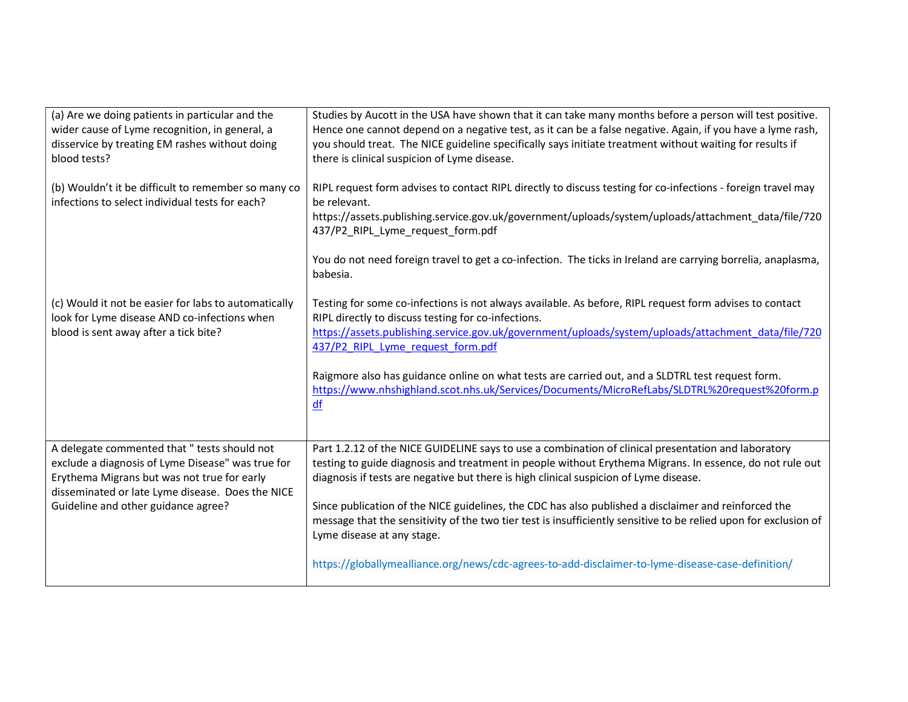| (a) Are we doing patients in particular and the<br>wider cause of Lyme recognition, in general, a<br>disservice by treating EM rashes without doing<br>blood tests?                                                                         | Studies by Aucott in the USA have shown that it can take many months before a person will test positive.<br>Hence one cannot depend on a negative test, as it can be a false negative. Again, if you have a lyme rash,<br>you should treat. The NICE guideline specifically says initiate treatment without waiting for results if<br>there is clinical suspicion of Lyme disease.                                                                                                                                                                                                                                                                                      |  |
|---------------------------------------------------------------------------------------------------------------------------------------------------------------------------------------------------------------------------------------------|-------------------------------------------------------------------------------------------------------------------------------------------------------------------------------------------------------------------------------------------------------------------------------------------------------------------------------------------------------------------------------------------------------------------------------------------------------------------------------------------------------------------------------------------------------------------------------------------------------------------------------------------------------------------------|--|
| (b) Wouldn't it be difficult to remember so many co<br>infections to select individual tests for each?                                                                                                                                      | RIPL request form advises to contact RIPL directly to discuss testing for co-infections - foreign travel may<br>be relevant.<br>https://assets.publishing.service.gov.uk/government/uploads/system/uploads/attachment_data/file/720<br>437/P2 RIPL Lyme request form.pdf<br>You do not need foreign travel to get a co-infection. The ticks in Ireland are carrying borrelia, anaplasma,<br>babesia.                                                                                                                                                                                                                                                                    |  |
| (c) Would it not be easier for labs to automatically<br>look for Lyme disease AND co-infections when<br>blood is sent away after a tick bite?                                                                                               | Testing for some co-infections is not always available. As before, RIPL request form advises to contact<br>RIPL directly to discuss testing for co-infections.<br>https://assets.publishing.service.gov.uk/government/uploads/system/uploads/attachment_data/file/720<br>437/P2 RIPL Lyme request form.pdf<br>Raigmore also has guidance online on what tests are carried out, and a SLDTRL test request form.<br>https://www.nhshighland.scot.nhs.uk/Services/Documents/MicroRefLabs/SLDTRL%20request%20form.p<br>df                                                                                                                                                   |  |
| A delegate commented that " tests should not<br>exclude a diagnosis of Lyme Disease" was true for<br>Erythema Migrans but was not true for early<br>disseminated or late Lyme disease. Does the NICE<br>Guideline and other guidance agree? | Part 1.2.12 of the NICE GUIDELINE says to use a combination of clinical presentation and laboratory<br>testing to guide diagnosis and treatment in people without Erythema Migrans. In essence, do not rule out<br>diagnosis if tests are negative but there is high clinical suspicion of Lyme disease.<br>Since publication of the NICE guidelines, the CDC has also published a disclaimer and reinforced the<br>message that the sensitivity of the two tier test is insufficiently sensitive to be relied upon for exclusion of<br>Lyme disease at any stage.<br>https://globallymealliance.org/news/cdc-agrees-to-add-disclaimer-to-lyme-disease-case-definition/ |  |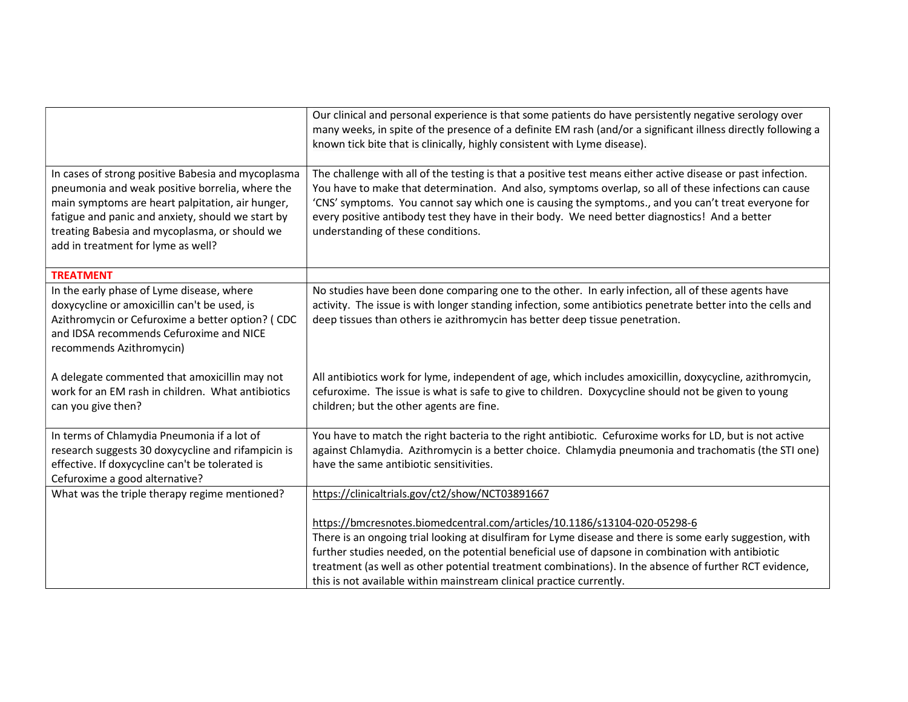|                                                                                                                                                                                                                                                                                                       | Our clinical and personal experience is that some patients do have persistently negative serology over<br>many weeks, in spite of the presence of a definite EM rash (and/or a significant illness directly following a<br>known tick bite that is clinically, highly consistent with Lyme disease).                                                                                                                                                                          |
|-------------------------------------------------------------------------------------------------------------------------------------------------------------------------------------------------------------------------------------------------------------------------------------------------------|-------------------------------------------------------------------------------------------------------------------------------------------------------------------------------------------------------------------------------------------------------------------------------------------------------------------------------------------------------------------------------------------------------------------------------------------------------------------------------|
| In cases of strong positive Babesia and mycoplasma<br>pneumonia and weak positive borrelia, where the<br>main symptoms are heart palpitation, air hunger,<br>fatigue and panic and anxiety, should we start by<br>treating Babesia and mycoplasma, or should we<br>add in treatment for lyme as well? | The challenge with all of the testing is that a positive test means either active disease or past infection.<br>You have to make that determination. And also, symptoms overlap, so all of these infections can cause<br>'CNS' symptoms. You cannot say which one is causing the symptoms., and you can't treat everyone for<br>every positive antibody test they have in their body. We need better diagnostics! And a better<br>understanding of these conditions.          |
| <b>TREATMENT</b>                                                                                                                                                                                                                                                                                      |                                                                                                                                                                                                                                                                                                                                                                                                                                                                               |
| In the early phase of Lyme disease, where<br>doxycycline or amoxicillin can't be used, is<br>Azithromycin or Cefuroxime a better option? (CDC<br>and IDSA recommends Cefuroxime and NICE<br>recommends Azithromycin)                                                                                  | No studies have been done comparing one to the other. In early infection, all of these agents have<br>activity. The issue is with longer standing infection, some antibiotics penetrate better into the cells and<br>deep tissues than others ie azithromycin has better deep tissue penetration.                                                                                                                                                                             |
| A delegate commented that amoxicillin may not<br>work for an EM rash in children. What antibiotics<br>can you give then?                                                                                                                                                                              | All antibiotics work for lyme, independent of age, which includes amoxicillin, doxycycline, azithromycin,<br>cefuroxime. The issue is what is safe to give to children. Doxycycline should not be given to young<br>children; but the other agents are fine.                                                                                                                                                                                                                  |
| In terms of Chlamydia Pneumonia if a lot of<br>research suggests 30 doxycycline and rifampicin is<br>effective. If doxycycline can't be tolerated is<br>Cefuroxime a good alternative?                                                                                                                | You have to match the right bacteria to the right antibiotic. Cefuroxime works for LD, but is not active<br>against Chlamydia. Azithromycin is a better choice. Chlamydia pneumonia and trachomatis (the STI one)<br>have the same antibiotic sensitivities.                                                                                                                                                                                                                  |
| What was the triple therapy regime mentioned?                                                                                                                                                                                                                                                         | https://clinicaltrials.gov/ct2/show/NCT03891667                                                                                                                                                                                                                                                                                                                                                                                                                               |
|                                                                                                                                                                                                                                                                                                       | https://bmcresnotes.biomedcentral.com/articles/10.1186/s13104-020-05298-6<br>There is an ongoing trial looking at disulfiram for Lyme disease and there is some early suggestion, with<br>further studies needed, on the potential beneficial use of dapsone in combination with antibiotic<br>treatment (as well as other potential treatment combinations). In the absence of further RCT evidence,<br>this is not available within mainstream clinical practice currently. |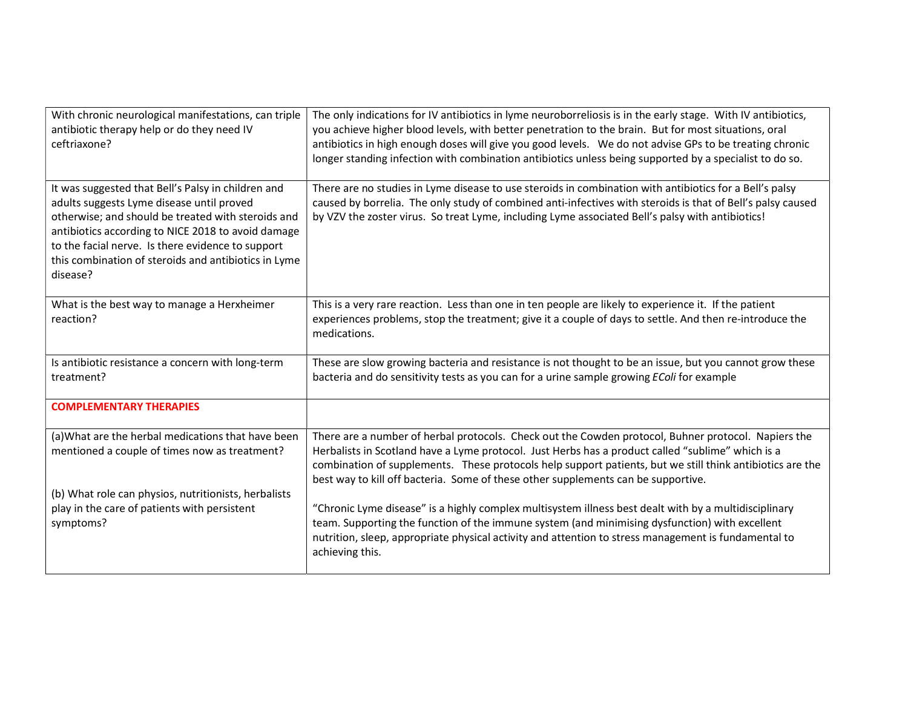| With chronic neurological manifestations, can triple<br>antibiotic therapy help or do they need IV<br>ceftriaxone?                                                                                                                                                                                                                   | The only indications for IV antibiotics in lyme neuroborreliosis is in the early stage. With IV antibiotics,<br>you achieve higher blood levels, with better penetration to the brain. But for most situations, oral<br>antibiotics in high enough doses will give you good levels. We do not advise GPs to be treating chronic<br>longer standing infection with combination antibiotics unless being supported by a specialist to do so. |
|--------------------------------------------------------------------------------------------------------------------------------------------------------------------------------------------------------------------------------------------------------------------------------------------------------------------------------------|--------------------------------------------------------------------------------------------------------------------------------------------------------------------------------------------------------------------------------------------------------------------------------------------------------------------------------------------------------------------------------------------------------------------------------------------|
| It was suggested that Bell's Palsy in children and<br>adults suggests Lyme disease until proved<br>otherwise; and should be treated with steroids and<br>antibiotics according to NICE 2018 to avoid damage<br>to the facial nerve. Is there evidence to support<br>this combination of steroids and antibiotics in Lyme<br>disease? | There are no studies in Lyme disease to use steroids in combination with antibiotics for a Bell's palsy<br>caused by borrelia. The only study of combined anti-infectives with steroids is that of Bell's palsy caused<br>by VZV the zoster virus. So treat Lyme, including Lyme associated Bell's palsy with antibiotics!                                                                                                                 |
| What is the best way to manage a Herxheimer<br>reaction?                                                                                                                                                                                                                                                                             | This is a very rare reaction. Less than one in ten people are likely to experience it. If the patient<br>experiences problems, stop the treatment; give it a couple of days to settle. And then re-introduce the<br>medications.                                                                                                                                                                                                           |
| Is antibiotic resistance a concern with long-term<br>treatment?                                                                                                                                                                                                                                                                      | These are slow growing bacteria and resistance is not thought to be an issue, but you cannot grow these<br>bacteria and do sensitivity tests as you can for a urine sample growing EColi for example                                                                                                                                                                                                                                       |
| <b>COMPLEMENTARY THERAPIES</b>                                                                                                                                                                                                                                                                                                       |                                                                                                                                                                                                                                                                                                                                                                                                                                            |
| (a) What are the herbal medications that have been                                                                                                                                                                                                                                                                                   | There are a number of herbal protocols. Check out the Cowden protocol, Buhner protocol. Napiers the                                                                                                                                                                                                                                                                                                                                        |
| mentioned a couple of times now as treatment?                                                                                                                                                                                                                                                                                        | Herbalists in Scotland have a Lyme protocol. Just Herbs has a product called "sublime" which is a<br>combination of supplements. These protocols help support patients, but we still think antibiotics are the<br>best way to kill off bacteria. Some of these other supplements can be supportive.                                                                                                                                        |
| (b) What role can physios, nutritionists, herbalists                                                                                                                                                                                                                                                                                 |                                                                                                                                                                                                                                                                                                                                                                                                                                            |
| play in the care of patients with persistent<br>symptoms?                                                                                                                                                                                                                                                                            | "Chronic Lyme disease" is a highly complex multisystem illness best dealt with by a multidisciplinary<br>team. Supporting the function of the immune system (and minimising dysfunction) with excellent<br>nutrition, sleep, appropriate physical activity and attention to stress management is fundamental to<br>achieving this.                                                                                                         |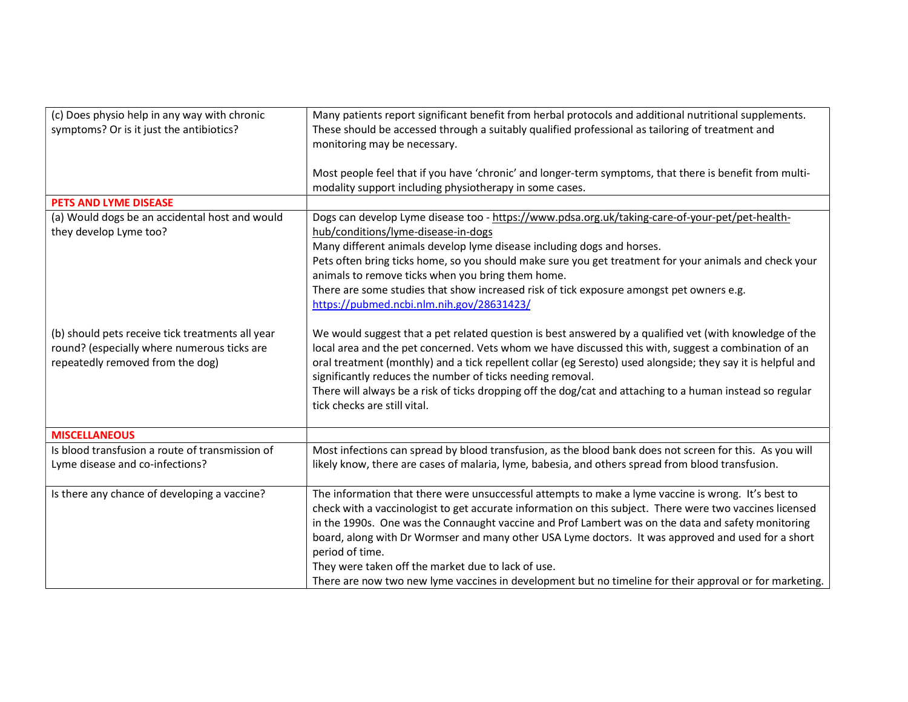| (c) Does physio help in any way with chronic<br>symptoms? Or is it just the antibiotics?                                            | Many patients report significant benefit from herbal protocols and additional nutritional supplements.<br>These should be accessed through a suitably qualified professional as tailoring of treatment and<br>monitoring may be necessary.                                                                                                                                                                                                                                                                                                                                                                      |
|-------------------------------------------------------------------------------------------------------------------------------------|-----------------------------------------------------------------------------------------------------------------------------------------------------------------------------------------------------------------------------------------------------------------------------------------------------------------------------------------------------------------------------------------------------------------------------------------------------------------------------------------------------------------------------------------------------------------------------------------------------------------|
|                                                                                                                                     | Most people feel that if you have 'chronic' and longer-term symptoms, that there is benefit from multi-<br>modality support including physiotherapy in some cases.                                                                                                                                                                                                                                                                                                                                                                                                                                              |
| <b>PETS AND LYME DISEASE</b>                                                                                                        |                                                                                                                                                                                                                                                                                                                                                                                                                                                                                                                                                                                                                 |
| (a) Would dogs be an accidental host and would<br>they develop Lyme too?                                                            | Dogs can develop Lyme disease too - https://www.pdsa.org.uk/taking-care-of-your-pet/pet-health-<br>hub/conditions/lyme-disease-in-dogs<br>Many different animals develop lyme disease including dogs and horses.<br>Pets often bring ticks home, so you should make sure you get treatment for your animals and check your<br>animals to remove ticks when you bring them home.                                                                                                                                                                                                                                 |
|                                                                                                                                     | There are some studies that show increased risk of tick exposure amongst pet owners e.g.<br>https://pubmed.ncbi.nlm.nih.gov/28631423/                                                                                                                                                                                                                                                                                                                                                                                                                                                                           |
| (b) should pets receive tick treatments all year<br>round? (especially where numerous ticks are<br>repeatedly removed from the dog) | We would suggest that a pet related question is best answered by a qualified vet (with knowledge of the<br>local area and the pet concerned. Vets whom we have discussed this with, suggest a combination of an<br>oral treatment (monthly) and a tick repellent collar (eg Seresto) used alongside; they say it is helpful and<br>significantly reduces the number of ticks needing removal.<br>There will always be a risk of ticks dropping off the dog/cat and attaching to a human instead so regular<br>tick checks are still vital.                                                                      |
| <b>MISCELLANEOUS</b>                                                                                                                |                                                                                                                                                                                                                                                                                                                                                                                                                                                                                                                                                                                                                 |
| Is blood transfusion a route of transmission of<br>Lyme disease and co-infections?                                                  | Most infections can spread by blood transfusion, as the blood bank does not screen for this. As you will<br>likely know, there are cases of malaria, lyme, babesia, and others spread from blood transfusion.                                                                                                                                                                                                                                                                                                                                                                                                   |
| Is there any chance of developing a vaccine?                                                                                        | The information that there were unsuccessful attempts to make a lyme vaccine is wrong. It's best to<br>check with a vaccinologist to get accurate information on this subject. There were two vaccines licensed<br>in the 1990s. One was the Connaught vaccine and Prof Lambert was on the data and safety monitoring<br>board, along with Dr Wormser and many other USA Lyme doctors. It was approved and used for a short<br>period of time.<br>They were taken off the market due to lack of use.<br>There are now two new lyme vaccines in development but no timeline for their approval or for marketing. |